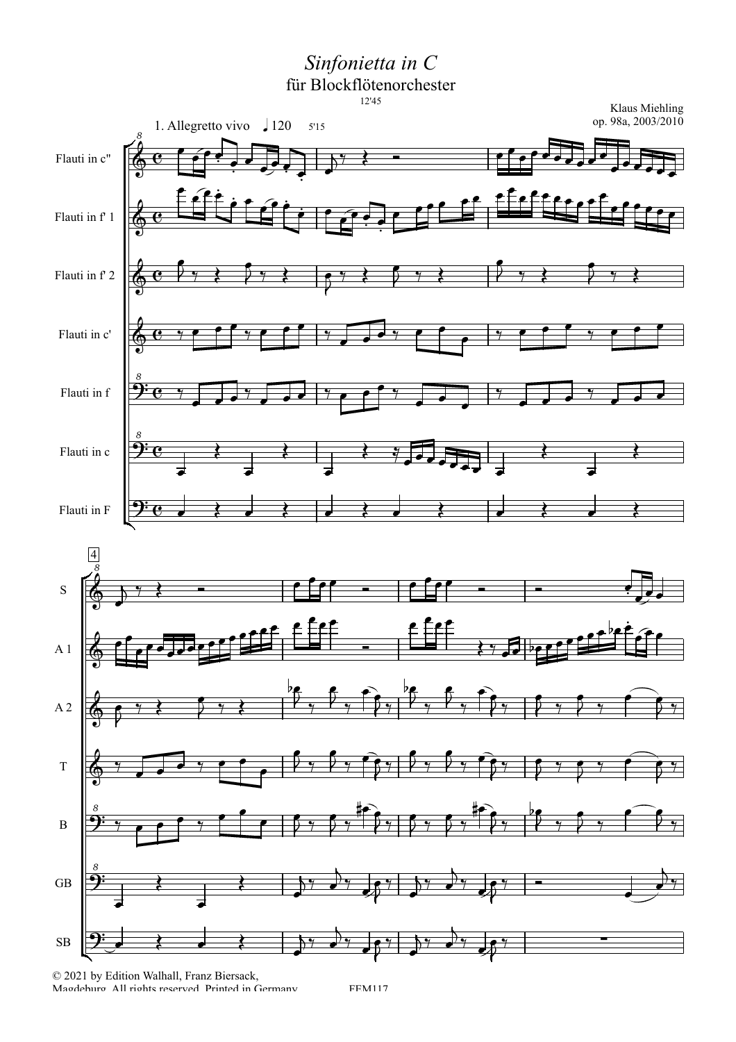Sinfonietta in C

für Blockflötenorchester



 $\textcircled{c}$  2021 by Edition Walhall, Franz Biersack, Maodehuro All riohts reserved Printed in Germany